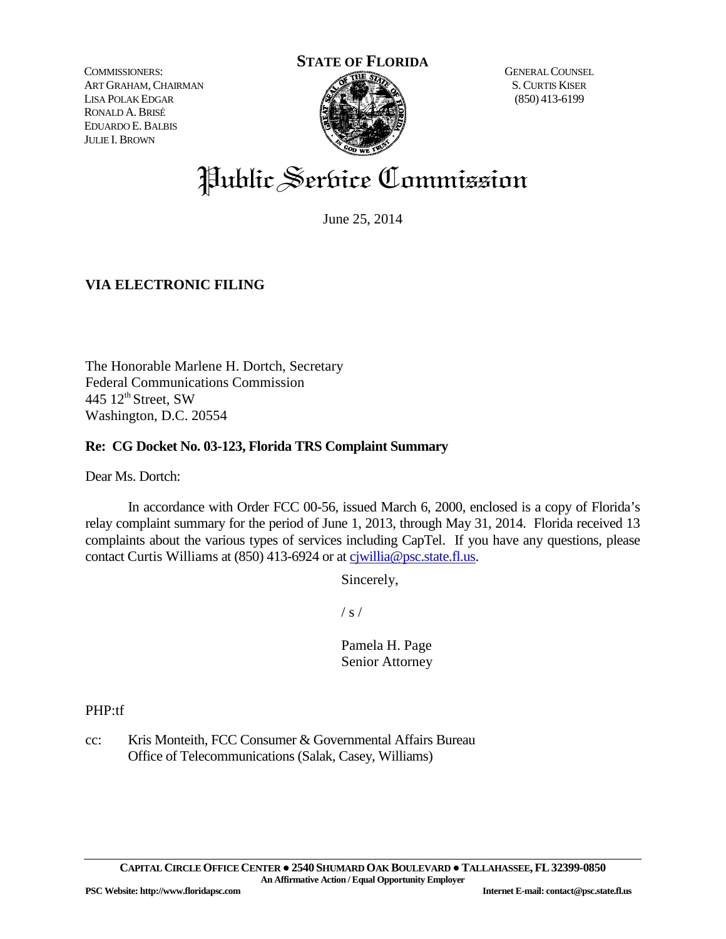COMMISSIONERS: ART GRAHAM, CHAIRMAN LISA POLAK EDGAR RONALD A.BRISÉ EDUARDO E.BALBIS JULIE I. BROWN



GENERAL COUNSEL S.CURTIS KISER (850) 413-6199

# Public Service Commission

June 25, 2014

### **VIA ELECTRONIC FILING**

The Honorable Marlene H. Dortch, Secretary Federal Communications Commission 445  $12<sup>th</sup>$  Street, SW Washington, D.C. 20554

### **Re: CG Docket No. 03-123, Florida TRS Complaint Summary**

Dear Ms. Dortch:

In accordance with Order FCC 00-56, issued March 6, 2000, enclosed is a copy of Florida's relay complaint summary for the period of June 1, 2013, through May 31, 2014. Florida received 13 complaints about the various types of services including CapTel. If you have any questions, please contact Curtis Williams at (850) 413-6924 or at [cjwillia@psc.state.fl.us.](mailto:cjwillia@psc.state.fl.us)

Sincerely,

 $/ s /$ 

Pamela H. Page Senior Attorney

PHP:tf

cc: Kris Monteith, FCC Consumer & Governmental Affairs Bureau Office of Telecommunications (Salak, Casey, Williams)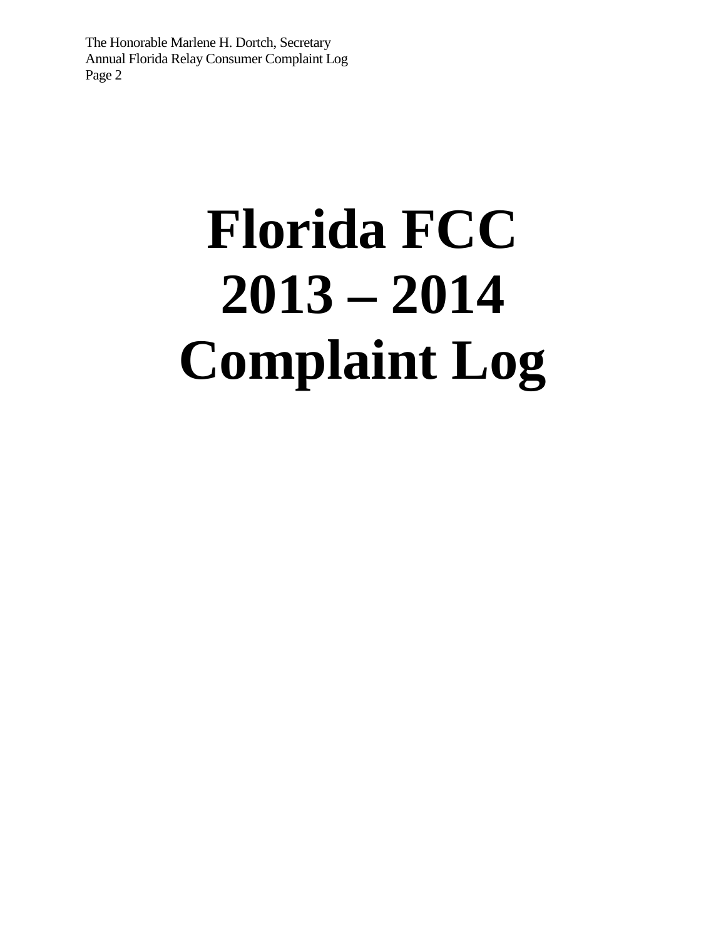The Honorable Marlene H. Dortch, Secretary Annual Florida Relay Consumer Complaint Log Page 2

# **Florida FCC 2013 – 2014 Complaint Log**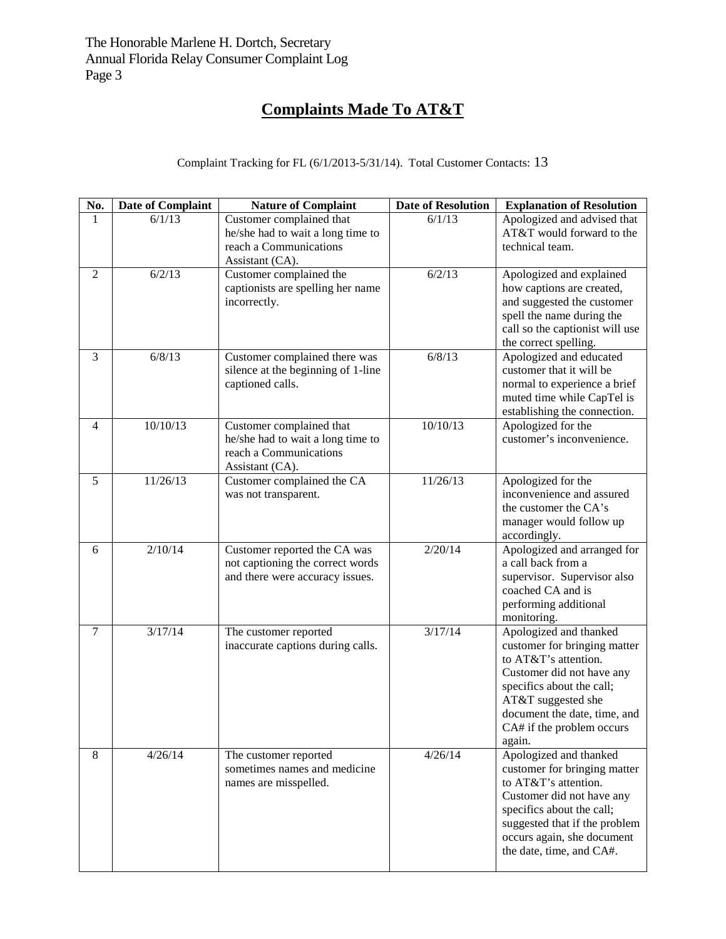The Honorable Marlene H. Dortch, Secretary Annual Florida Relay Consumer Complaint Log Page 3

# **Complaints Made To AT&T**

#### Complaint Tracking for FL (6/1/2013-5/31/14). Total Customer Contacts: 13

| No.              | <b>Date of Complaint</b> | <b>Nature of Complaint</b>                                          | <b>Date of Resolution</b> | <b>Explanation of Resolution</b>                             |
|------------------|--------------------------|---------------------------------------------------------------------|---------------------------|--------------------------------------------------------------|
| 1                | 6/1/13                   | Customer complained that                                            | 6/1/13                    | Apologized and advised that                                  |
|                  |                          | he/she had to wait a long time to<br>reach a Communications         |                           | AT&T would forward to the<br>technical team.                 |
|                  |                          | Assistant (CA).                                                     |                           |                                                              |
| $\overline{2}$   | 6/2/13                   | Customer complained the                                             | 6/2/13                    | Apologized and explained                                     |
|                  |                          | captionists are spelling her name                                   |                           | how captions are created,                                    |
|                  |                          | incorrectly.                                                        |                           | and suggested the customer                                   |
|                  |                          |                                                                     |                           | spell the name during the<br>call so the captionist will use |
|                  |                          |                                                                     |                           | the correct spelling.                                        |
| 3                | 6/8/13                   | Customer complained there was                                       | 6/8/13                    | Apologized and educated                                      |
|                  |                          | silence at the beginning of 1-line                                  |                           | customer that it will be                                     |
|                  |                          | captioned calls.                                                    |                           | normal to experience a brief                                 |
|                  |                          |                                                                     |                           | muted time while CapTel is<br>establishing the connection.   |
| $\overline{4}$   | 10/10/13                 | Customer complained that                                            | 10/10/13                  | Apologized for the                                           |
|                  |                          | he/she had to wait a long time to                                   |                           | customer's inconvenience.                                    |
|                  |                          | reach a Communications                                              |                           |                                                              |
|                  |                          | Assistant (CA).                                                     |                           |                                                              |
| 5                | 11/26/13                 | Customer complained the CA                                          | 11/26/13                  | Apologized for the<br>inconvenience and assured              |
|                  |                          | was not transparent.                                                |                           | the customer the CA's                                        |
|                  |                          |                                                                     |                           | manager would follow up                                      |
|                  |                          |                                                                     |                           | accordingly.                                                 |
| 6                | 2/10/14                  | Customer reported the CA was                                        | 2/20/14                   | Apologized and arranged for                                  |
|                  |                          | not captioning the correct words<br>and there were accuracy issues. |                           | a call back from a<br>supervisor. Supervisor also            |
|                  |                          |                                                                     |                           | coached CA and is                                            |
|                  |                          |                                                                     |                           | performing additional                                        |
|                  |                          |                                                                     |                           | monitoring.                                                  |
| $\boldsymbol{7}$ | 3/17/14                  | The customer reported                                               | 3/17/14                   | Apologized and thanked                                       |
|                  |                          | inaccurate captions during calls.                                   |                           | customer for bringing matter<br>to AT&T's attention.         |
|                  |                          |                                                                     |                           | Customer did not have any                                    |
|                  |                          |                                                                     |                           | specifics about the call;                                    |
|                  |                          |                                                                     |                           | AT&T suggested she                                           |
|                  |                          |                                                                     |                           | document the date, time, and                                 |
|                  |                          |                                                                     |                           | CA# if the problem occurs<br>again.                          |
| 8                | 4/26/14                  | The customer reported                                               | 4/26/14                   | Apologized and thanked                                       |
|                  |                          | sometimes names and medicine                                        |                           | customer for bringing matter                                 |
|                  |                          | names are misspelled.                                               |                           | to AT&T's attention.                                         |
|                  |                          |                                                                     |                           | Customer did not have any                                    |
|                  |                          |                                                                     |                           | specifics about the call;<br>suggested that if the problem   |
|                  |                          |                                                                     |                           | occurs again, she document                                   |
|                  |                          |                                                                     |                           | the date, time, and CA#.                                     |
|                  |                          |                                                                     |                           |                                                              |